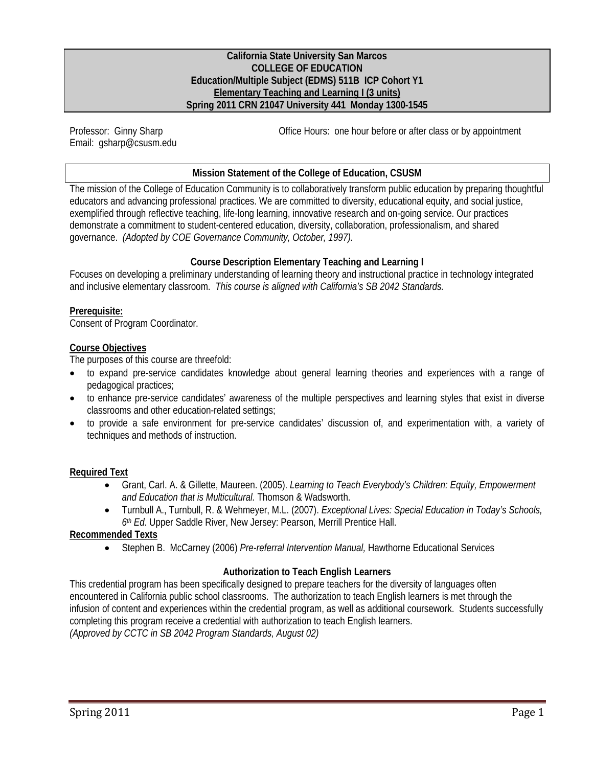### **California State University San Marcos COLLEGE OF EDUCATION Education/Multiple Subject (EDMS) 511B ICP Cohort Y1 Elementary Teaching and Learning I (3 units) Spring 2011 CRN 21047 University 441 Monday 1300-1545**

Professor: Ginny Sharp Email: gsharp@csusm.edu Office Hours: one hour before or after class or by appointment

## **Mission Statement of the College of Education, CSUSM**

The mission of the College of Education Community is to collaboratively transform public education by preparing thoughtful educators and advancing professional practices. We are committed to diversity, educational equity, and social justice, exemplified through reflective teaching, life-long learning, innovative research and on-going service. Our practices demonstrate a commitment to student-centered education, diversity, collaboration, professionalism, and shared governance. *(Adopted by COE Governance Community, October, 1997).* 

## **Course Description Elementary Teaching and Learning I**

 Focuses on developing a preliminary understanding of learning theory and instructional practice in technology integrated and inclusive elementary classroom. *This course is aligned with California's SB 2042 Standards.* 

### **Prerequisite:**

Consent of Program Coordinator.

### **Course Objectives**

The purposes of this course are threefold:

- to expand pre-service candidates knowledge about general learning theories and experiences with a range of pedagogical practices;
- to enhance pre-service candidates' awareness of the multiple perspectives and learning styles that exist in diverse classrooms and other education-related settings;
- to provide a safe environment for pre-service candidates' discussion of, and experimentation with, a variety of techniques and methods of instruction.

## **Required Text**

- Grant, Carl. A. & Gillette, Maureen. (2005). *Learning to Teach Everybody's Children: Equity, Empowerment and Education that is Multicultural.* Thomson & Wadsworth.
- Turnbull A., Turnbull, R. & Wehmeyer, M.L. (2007). *Exceptional Lives: Special Education in Today's Schools, 6th Ed*. Upper Saddle River, New Jersey: Pearson, Merrill Prentice Hall.

### **Recommended Texts**

Stephen B. McCarney (2006) *Pre-referral Intervention Manual,* Hawthorne Educational Services

## **Authorization to Teach English Learners**

This credential program has been specifically designed to prepare teachers for the diversity of languages often encountered in California public school classrooms. The authorization to teach English learners is met through the infusion of content and experiences within the credential program, as well as additional coursework. Students successfully completing this program receive a credential with authorization to teach English learners. *(Approved by CCTC in SB 2042 Program Standards, August 02)*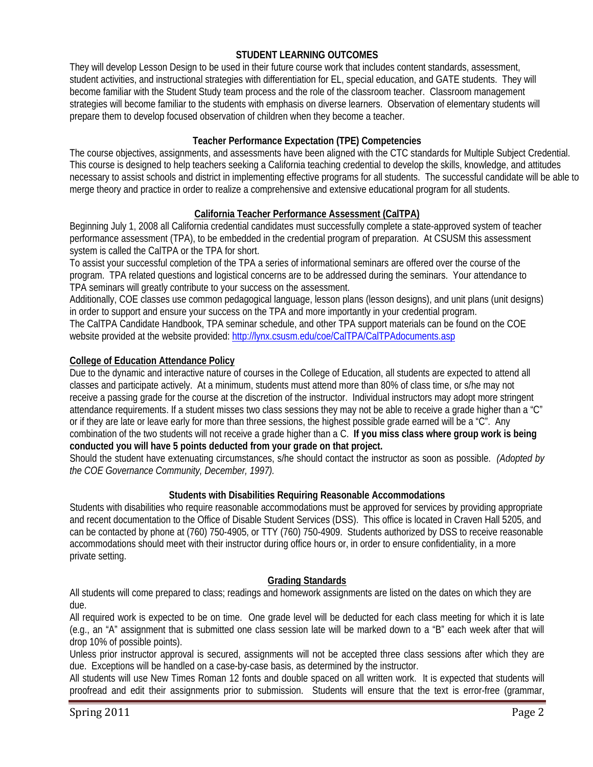## **STUDENT LEARNING OUTCOMES**

They will develop Lesson Design to be used in their future course work that includes content standards, assessment, student activities, and instructional strategies with differentiation for EL, special education, and GATE students. They will become familiar with the Student Study team process and the role of the classroom teacher. Classroom management strategies will become familiar to the students with emphasis on diverse learners. Observation of elementary students will prepare them to develop focused observation of children when they become a teacher.

## **Teacher Performance Expectation (TPE) Competencies**

The course objectives, assignments, and assessments have been aligned with the CTC standards for Multiple Subject Credential. This course is designed to help teachers seeking a California teaching credential to develop the skills, knowledge, and attitudes necessary to assist schools and district in implementing effective programs for all students. The successful candidate will be able to merge theory and practice in order to realize a comprehensive and extensive educational program for all students.

## **California Teacher Performance Assessment (CalTPA)**

Beginning July 1, 2008 all California credential candidates must successfully complete a state-approved system of teacher performance assessment (TPA), to be embedded in the credential program of preparation. At CSUSM this assessment system is called the CalTPA or the TPA for short.

To assist your successful completion of the TPA a series of informational seminars are offered over the course of the program. TPA related questions and logistical concerns are to be addressed during the seminars. Your attendance to TPA seminars will greatly contribute to your success on the assessment.

Additionally, COE classes use common pedagogical language, lesson plans (lesson designs), and unit plans (unit designs) in order to support and ensure your success on the TPA and more importantly in your credential program. The CalTPA Candidate Handbook, TPA seminar schedule, and other TPA support materials can be found on the COE website provided at the website provided: http://lynx.csusm.edu/coe/CalTPA/CalTPAdocuments.asp

## **College of Education Attendance Policy**

Due to the dynamic and interactive nature of courses in the College of Education, all students are expected to attend all classes and participate actively. At a minimum, students must attend more than 80% of class time, or s/he may not receive a passing grade for the course at the discretion of the instructor. Individual instructors may adopt more stringent attendance requirements. If a student misses two class sessions they may not be able to receive a grade higher than a "C" or if they are late or leave early for more than three sessions, the highest possible grade earned will be a "C". Any combination of the two students will not receive a grade higher than a C. **If you miss class where group work is being conducted you will have 5 points deducted from your grade on that project.** 

 *the COE Governance Community, December, 1997).* Should the student have extenuating circumstances, s/he should contact the instructor as soon as possible. *(Adopted by* 

## **Students with Disabilities Requiring Reasonable Accommodations**

Students with disabilities who require reasonable accommodations must be approved for services by providing appropriate and recent documentation to the Office of Disable Student Services (DSS). This office is located in Craven Hall 5205, and can be contacted by phone at (760) 750-4905, or TTY (760) 750-4909. Students authorized by DSS to receive reasonable accommodations should meet with their instructor during office hours or, in order to ensure confidentiality, in a more private setting.

## **Grading Standards**

 All students will come prepared to class; readings and homework assignments are listed on the dates on which they are due.

 drop 10% of possible points). All required work is expected to be on time. One grade level will be deducted for each class meeting for which it is late (e.g., an "A" assignment that is submitted one class session late will be marked down to a "B" each week after that will

Unless prior instructor approval is secured, assignments will not be accepted three class sessions after which they are due. Exceptions will be handled on a case-by-case basis, as determined by the instructor.

All students will use New Times Roman 12 fonts and double spaced on all written work. It is expected that students will proofread and edit their assignments prior to submission. Students will ensure that the text is error-free (grammar,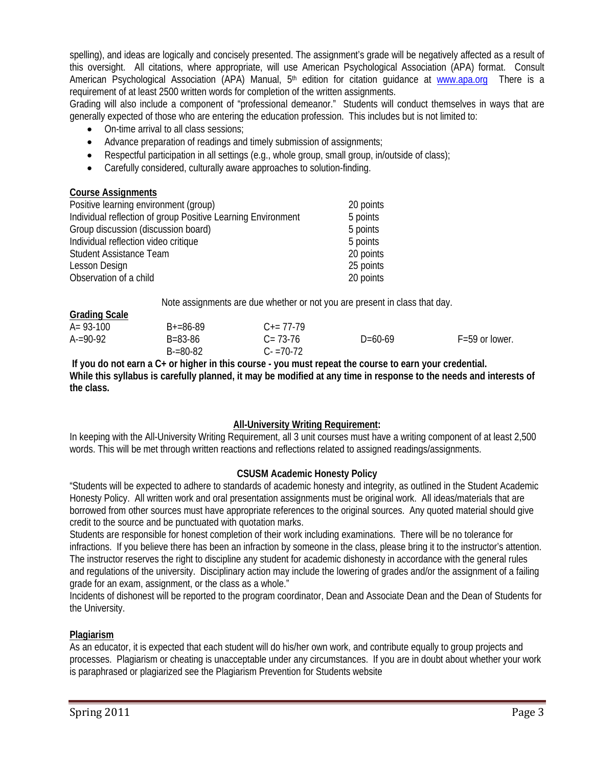American Psychological Association (APA) Manual, 5<sup>th</sup> edition for citation guidance at **www.apa.org** There is a spelling), and ideas are logically and concisely presented. The assignment's grade will be negatively affected as a result of this oversight. All citations, where appropriate, will use American Psychological Association (APA) format. Consult requirement of at least 2500 written words for completion of the written assignments.

 Grading will also include a component of "professional demeanor." Students will conduct themselves in ways that are generally expected of those who are entering the education profession. This includes but is not limited to:

- On-time arrival to all class sessions:
- Advance preparation of readings and timely submission of assignments;
- Respectful participation in all settings (e.g., whole group, small group, in/outside of class);
- Carefully considered, culturally aware approaches to solution-finding.

## **Course Assignments**

**Grading Scale** 

| Positive learning environment (group)                        | 20 points |
|--------------------------------------------------------------|-----------|
| Individual reflection of group Positive Learning Environment | 5 points  |
| Group discussion (discussion board)                          | 5 points  |
| Individual reflection video critique                         | 5 points  |
| Student Assistance Team                                      | 20 points |
| Lesson Design                                                | 25 points |
| Observation of a child                                       | 20 points |

Note assignments are due whether or not you are present in class that day.

| <u>Urduing Judiu</u> |               |                     |           |                    |
|----------------------|---------------|---------------------|-----------|--------------------|
| $A = 93 - 100$       | $B+=86-89$    | $C_{\pm} = 77 - 79$ |           |                    |
| $A = 90-92$          | B=83-86       | $C = 73-76$         | $D=60-69$ | $F = 59$ or lower. |
|                      | $B = 80 - 82$ | $C = 70-72$         |           |                    |

**If you do not earn a C+ or higher in this course - you must repeat the course to earn your credential. While this syllabus is carefully planned, it may be modified at any time in response to the needs and interests of the class.** 

## **All-University Writing Requirement:**

 words. This will be met through written reactions and reflections related to assigned readings/assignments. In keeping with the All-University Writing Requirement, all 3 unit courses must have a writing component of at least 2,500

## **CSUSM Academic Honesty Policy**

"Students will be expected to adhere to standards of academic honesty and integrity, as outlined in the Student Academic Honesty Policy. All written work and oral presentation assignments must be original work. All ideas/materials that are borrowed from other sources must have appropriate references to the original sources. Any quoted material should give credit to the source and be punctuated with quotation marks.

Students are responsible for honest completion of their work including examinations. There will be no tolerance for infractions. If you believe there has been an infraction by someone in the class, please bring it to the instructor's attention. The instructor reserves the right to discipline any student for academic dishonesty in accordance with the general rules and regulations of the university. Disciplinary action may include the lowering of grades and/or the assignment of a failing grade for an exam, assignment, or the class as a whole."

Incidents of dishonest will be reported to the program coordinator, Dean and Associate Dean and the Dean of Students for the University.

## **Plagiarism**

As an educator, it is expected that each student will do his/her own work, and contribute equally to group projects and processes. Plagiarism or cheating is unacceptable under any circumstances. If you are in doubt about whether your work is paraphrased or plagiarized see the Plagiarism Prevention for Students website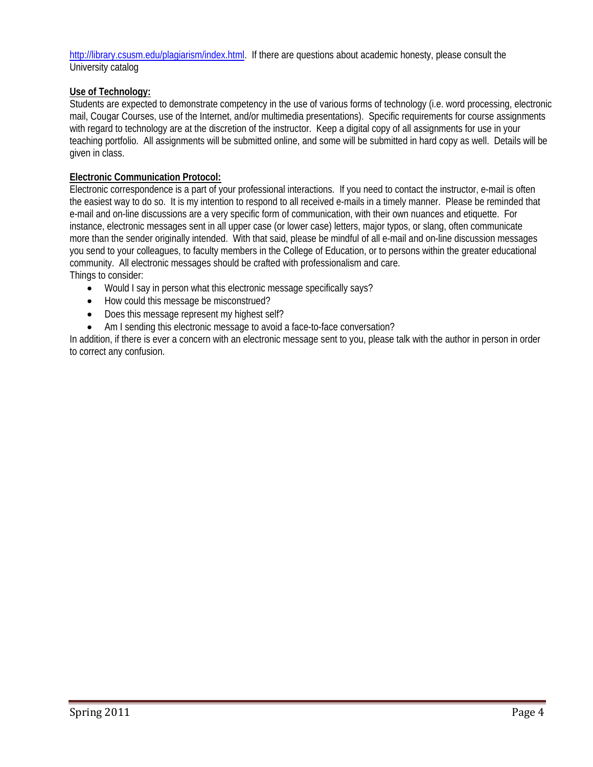http://library.csusm.edu/plagiarism/index.html. If there are questions about academic honesty, please consult the University catalog

## **Use of Technology:**

 Students are expected to demonstrate competency in the use of various forms of technology (i.e. word processing, electronic mail, Cougar Courses, use of the Internet, and/or multimedia presentations). Specific requirements for course assignments with regard to technology are at the discretion of the instructor. Keep a digital copy of all assignments for use in your teaching portfolio. All assignments will be submitted online, and some will be submitted in hard copy as well. Details will be given in class.

## **Electronic Communication Protocol:**

 instance, electronic messages sent in all upper case (or lower case) letters, major typos, or slang, often communicate Electronic correspondence is a part of your professional interactions. If you need to contact the instructor, e-mail is often the easiest way to do so. It is my intention to respond to all received e-mails in a timely manner. Please be reminded that e-mail and on-line discussions are a very specific form of communication, with their own nuances and etiquette. For more than the sender originally intended. With that said, please be mindful of all e-mail and on-line discussion messages you send to your colleagues, to faculty members in the College of Education, or to persons within the greater educational community. All electronic messages should be crafted with professionalism and care. Things to consider:

- Would I say in person what this electronic message specifically says?
- How could this message be misconstrued?
- Does this message represent my highest self?
- Am I sending this electronic message to avoid a face-to-face conversation?

In addition, if there is ever a concern with an electronic message sent to you, please talk with the author in person in order to correct any confusion.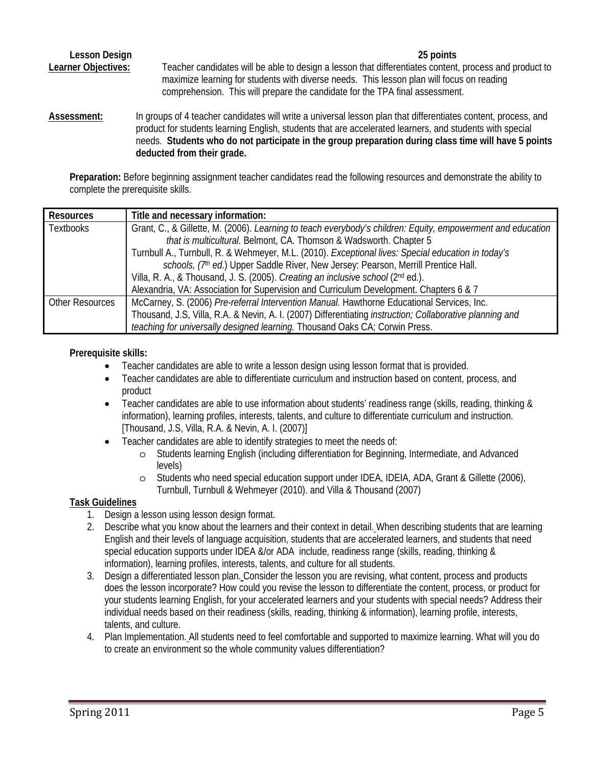**Lesson Design 25 points**  Learner Objectives: Teacher candidates will be able to design a lesson that differentiates content, process and product to maximize learning for students with diverse needs. This lesson plan will focus on reading comprehension. This will prepare the candidate for the TPA final assessment.

deducted from their grade. **Assessment:** In groups of 4 teacher candidates will write a universal lesson plan that differentiates content, process, and product for students learning English, students that are accelerated learners, and students with special needs. **Students who do not participate in the group preparation during class time will have 5 points** 

**Preparation:** Before beginning assignment teacher candidates read the following resources and demonstrate the ability to complete the prerequisite skills.

| <b>Resources</b>       | Title and necessary information:                                                                            |  |  |  |
|------------------------|-------------------------------------------------------------------------------------------------------------|--|--|--|
| <b>Textbooks</b>       | Grant, C., & Gillette, M. (2006). Learning to teach everybody's children: Equity, empowerment and education |  |  |  |
|                        | that is multicultural. Belmont, CA. Thomson & Wadsworth. Chapter 5                                          |  |  |  |
|                        | Turnbull A., Turnbull, R. & Wehmeyer, M.L. (2010). Exceptional lives: Special education in today's          |  |  |  |
|                        | schools, (7th ed.) Upper Saddle River, New Jersey: Pearson, Merrill Prentice Hall.                          |  |  |  |
|                        | Villa, R. A., & Thousand, J. S. (2005). Creating an inclusive school (2nd ed.).                             |  |  |  |
|                        | Alexandria, VA: Association for Supervision and Curriculum Development. Chapters 6 & 7                      |  |  |  |
| <b>Other Resources</b> | McCarney, S. (2006) Pre-referral Intervention Manual. Hawthorne Educational Services, Inc.                  |  |  |  |
|                        | Thousand, J.S, Villa, R.A. & Nevin, A. I. (2007) Differentiating instruction; Collaborative planning and    |  |  |  |
|                        | teaching for universally designed learning. Thousand Oaks CA; Corwin Press.                                 |  |  |  |

## **Prerequisite skills:**

- Teacher candidates are able to write a lesson design using lesson format that is provided.
- Teacher candidates are able to differentiate curriculum and instruction based on content, process, and product
- information), learning profiles, interests, talents, and culture to differentiate curriculum and instruction. Teacher candidates are able to use information about students' readiness range (skills, reading, thinking & [Thousand, J.S, Villa, R.A. & Nevin, A. I. (2007)]
- Teacher candidates are able to identify strategies to meet the needs of:
	- o Students learning English (including differentiation for Beginning, Intermediate, and Advanced levels)
	- o Students who need special education support under IDEA, IDEIA, ADA, Grant & Gillette (2006), Turnbull, Turnbull & Wehmeyer (2010). and Villa & Thousand (2007)

## **Task Guidelines**

- 1. Design a lesson using lesson design format.
- information), learning profiles, interests, talents, and culture for all students. 2. Describe what you know about the learners and their context in detail. When describing students that are learning English and their levels of language acquisition, students that are accelerated learners, and students that need special education supports under IDEA &/or ADA include, readiness range (skills, reading, thinking &
- 3. Design a differentiated lesson plan. Consider the lesson you are revising, what content, process and products does the lesson incorporate? How could you revise the lesson to differentiate the content, process, or product for your students learning English, for your accelerated learners and your students with special needs? Address their individual needs based on their readiness (skills, reading, thinking & information), learning profile, interests, talents, and culture.
- 4. Plan Implementation. All students need to feel comfortable and supported to maximize learning. What will you do to create an environment so the whole community values differentiation?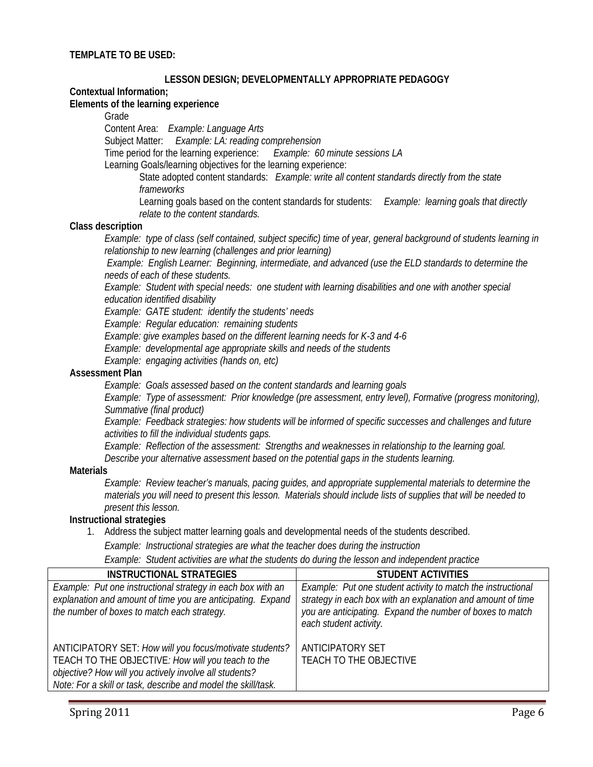### **LESSON DESIGN; DEVELOPMENTALLY APPROPRIATE PEDAGOGY**

#### **Contextual Information;**

#### **Elements of the learning experience**

Grade

Content Area: *Example: Language Arts*

Subject Matter: *Example: LA: reading comprehension* 

Time period for the learning experience: *Example: 60 minute sessions LA*

Learning Goals/learning objectives for the learning experience:

State adopted content standards: *Example: write all content standards directly from the state frameworks* 

Learning goals based on the content standards for students: *Example: learning goals that directly relate to the content standards.* 

#### **Class description**

*Example: type of class (self contained, subject specific) time of year, general background of students learning in relationship to new learning (challenges and prior learning)*

 *Example: English Learner: Beginning, intermediate, and advanced (use the ELD standards to determine the needs of each of these students.* 

*Example: Student with special needs: one student with learning disabilities and one with another special education identified disability* 

*Example: GATE student: identify the students' needs* 

*Example: Regular education: remaining students* 

 *Example: give examples based on the different learning needs for K-3 and 4-6* 

*Example: developmental age appropriate skills and needs of the students* 

*Example: engaging activities (hands on, etc)* 

#### **Assessment Plan**

*Example: Goals assessed based on the content standards and learning goals*

*Example: Type of assessment: Prior knowledge (pre assessment, entry level), Formative (progress monitoring), Summative (final product)*

*Example: Feedback strategies: how students will be informed of specific successes and challenges and future activities to fill the individual students gaps.*

*Example: Reflection of the assessment: Strengths and weaknesses in relationship to the learning goal. Describe your alternative assessment based on the potential gaps in the students learning.* 

#### **Materials**

*Example: Review teacher's manuals, pacing guides, and appropriate supplemental materials to determine the materials you will need to present this lesson. Materials should include lists of supplies that will be needed to present this lesson.* 

### **Instructional strategies**

1. Address the subject matter learning goals and developmental needs of the students described.

*Example: Instructional strategies are what the teacher does during the instruction* 

*Example: Student activities are what the students do during the lesson and independent practice* 

| <b>INSTRUCTIONAL STRATEGIES</b>                                                                                                                                                                                                         | <b>STUDENT ACTIVITIES</b>                                                                                                                                                                                          |
|-----------------------------------------------------------------------------------------------------------------------------------------------------------------------------------------------------------------------------------------|--------------------------------------------------------------------------------------------------------------------------------------------------------------------------------------------------------------------|
| Example: Put one instructional strategy in each box with an<br>explanation and amount of time you are anticipating. Expand<br>the number of boxes to match each strategy.                                                               | Example: Put one student activity to match the instructional<br>strategy in each box with an explanation and amount of time<br>you are anticipating. Expand the number of boxes to match<br>each student activity. |
| ANTICIPATORY SET: How will you focus/motivate students?<br>TEACH TO THE OBJECTIVE: How will you teach to the<br>objective? How will you actively involve all students?<br>Note: For a skill or task, describe and model the skill/task. | ANTICIPATORY SET<br>TEACH TO THE OBJECTIVE                                                                                                                                                                         |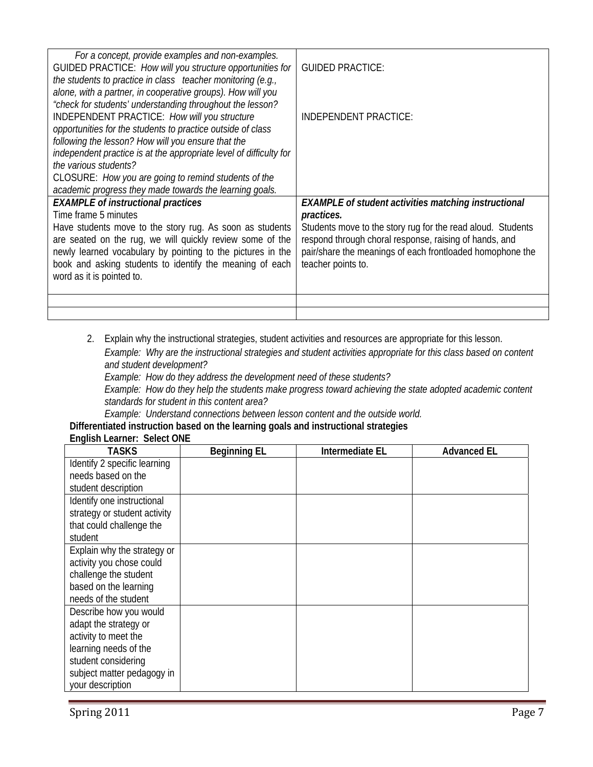| For a concept, provide examples and non-examples.<br>GUIDED PRACTICE: How will you structure opportunities for<br>the students to practice in class teacher monitoring (e.g.,<br>alone, with a partner, in cooperative groups). How will you                                                         | <b>GUIDED PRACTICE:</b>                                                                                                                                                                                  |
|------------------------------------------------------------------------------------------------------------------------------------------------------------------------------------------------------------------------------------------------------------------------------------------------------|----------------------------------------------------------------------------------------------------------------------------------------------------------------------------------------------------------|
| "check for students' understanding throughout the lesson?<br>INDEPENDENT PRACTICE: How will you structure<br>opportunities for the students to practice outside of class<br>following the lesson? How will you ensure that the<br>independent practice is at the appropriate level of difficulty for | <b>INDEPENDENT PRACTICE:</b>                                                                                                                                                                             |
| the various students?<br>CLOSURE: How you are going to remind students of the<br>academic progress they made towards the learning goals.                                                                                                                                                             |                                                                                                                                                                                                          |
| <b>EXAMPLE of instructional practices</b>                                                                                                                                                                                                                                                            | <b>EXAMPLE</b> of student activities matching instructional                                                                                                                                              |
| Time frame 5 minutes                                                                                                                                                                                                                                                                                 | practices.                                                                                                                                                                                               |
| Have students move to the story rug. As soon as students<br>are seated on the rug, we will quickly review some of the<br>newly learned vocabulary by pointing to the pictures in the<br>book and asking students to identify the meaning of each<br>word as it is pointed to.                        | Students move to the story rug for the read aloud. Students<br>respond through choral response, raising of hands, and<br>pair/share the meanings of each frontloaded homophone the<br>teacher points to. |
|                                                                                                                                                                                                                                                                                                      |                                                                                                                                                                                                          |
|                                                                                                                                                                                                                                                                                                      |                                                                                                                                                                                                          |

2. Explain why the instructional strategies, student activities and resources are appropriate for this lesson.

*Example: Why are the instructional strategies and student activities appropriate for this class based on content and student development?*

*Example: How do they address the development need of these students?*

*Example: How do they help the students make progress toward achieving the state adopted academic content standards for student in this content area?*

*Example: Understand connections between lesson content and the outside world.* 

**Differentiated instruction based on the learning goals and instructional strategies** 

| TASKS                        | <b>Beginning EL</b> | Intermediate EL | <b>Advanced EL</b> |
|------------------------------|---------------------|-----------------|--------------------|
| Identify 2 specific learning |                     |                 |                    |
| needs based on the           |                     |                 |                    |
| student description          |                     |                 |                    |
| Identify one instructional   |                     |                 |                    |
| strategy or student activity |                     |                 |                    |
| that could challenge the     |                     |                 |                    |
| student                      |                     |                 |                    |
| Explain why the strategy or  |                     |                 |                    |
| activity you chose could     |                     |                 |                    |
| challenge the student        |                     |                 |                    |
| based on the learning        |                     |                 |                    |
| needs of the student         |                     |                 |                    |
| Describe how you would       |                     |                 |                    |
| adapt the strategy or        |                     |                 |                    |
| activity to meet the         |                     |                 |                    |
| learning needs of the        |                     |                 |                    |
| student considering          |                     |                 |                    |
| subject matter pedagogy in   |                     |                 |                    |
| your description             |                     |                 |                    |

**English Learner: Select ONE**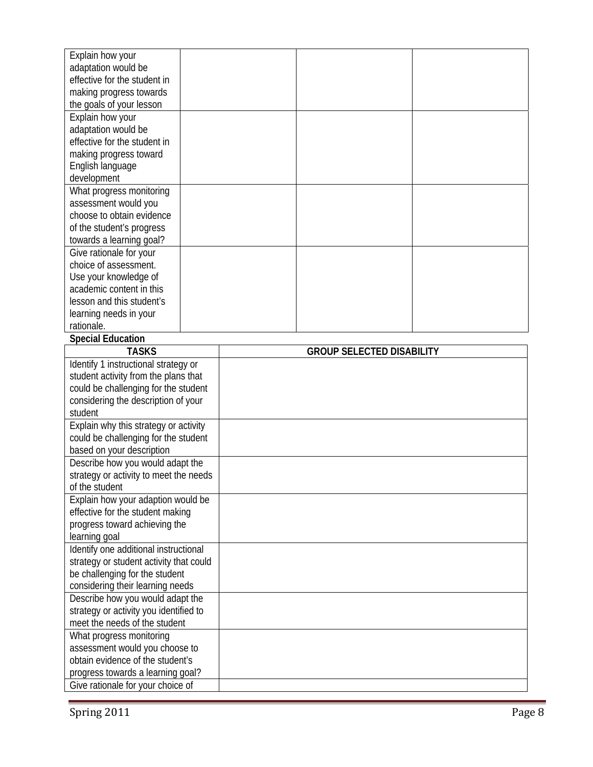| Explain how your                                                       |  |                                  |  |
|------------------------------------------------------------------------|--|----------------------------------|--|
| adaptation would be                                                    |  |                                  |  |
| effective for the student in                                           |  |                                  |  |
| making progress towards                                                |  |                                  |  |
| the goals of your lesson                                               |  |                                  |  |
| Explain how your                                                       |  |                                  |  |
| adaptation would be                                                    |  |                                  |  |
| effective for the student in                                           |  |                                  |  |
| making progress toward                                                 |  |                                  |  |
| English language                                                       |  |                                  |  |
| development                                                            |  |                                  |  |
| What progress monitoring                                               |  |                                  |  |
| assessment would you<br>choose to obtain evidence                      |  |                                  |  |
|                                                                        |  |                                  |  |
| of the student's progress                                              |  |                                  |  |
| towards a learning goal?<br>Give rationale for your                    |  |                                  |  |
| choice of assessment.                                                  |  |                                  |  |
| Use your knowledge of                                                  |  |                                  |  |
| academic content in this                                               |  |                                  |  |
| lesson and this student's                                              |  |                                  |  |
| learning needs in your                                                 |  |                                  |  |
| rationale.                                                             |  |                                  |  |
| <b>Special Education</b>                                               |  |                                  |  |
| <b>TASKS</b>                                                           |  | <b>GROUP SELECTED DISABILITY</b> |  |
| Identify 1 instructional strategy or                                   |  |                                  |  |
| student activity from the plans that                                   |  |                                  |  |
| could be challenging for the student                                   |  |                                  |  |
| considering the description of your                                    |  |                                  |  |
| student                                                                |  |                                  |  |
| Explain why this strategy or activity                                  |  |                                  |  |
| could be challenging for the student                                   |  |                                  |  |
| based on your description                                              |  |                                  |  |
| Describe how you would adapt the                                       |  |                                  |  |
| strategy or activity to meet the needs                                 |  |                                  |  |
|                                                                        |  |                                  |  |
| of the student                                                         |  |                                  |  |
| Explain how your adaption would be                                     |  |                                  |  |
| effective for the student making                                       |  |                                  |  |
| progress toward achieving the                                          |  |                                  |  |
| learning goal                                                          |  |                                  |  |
| Identify one additional instructional                                  |  |                                  |  |
| strategy or student activity that could                                |  |                                  |  |
| be challenging for the student                                         |  |                                  |  |
| considering their learning needs                                       |  |                                  |  |
| Describe how you would adapt the                                       |  |                                  |  |
| strategy or activity you identified to                                 |  |                                  |  |
| meet the needs of the student                                          |  |                                  |  |
| What progress monitoring                                               |  |                                  |  |
| assessment would you choose to                                         |  |                                  |  |
| obtain evidence of the student's                                       |  |                                  |  |
| progress towards a learning goal?<br>Give rationale for your choice of |  |                                  |  |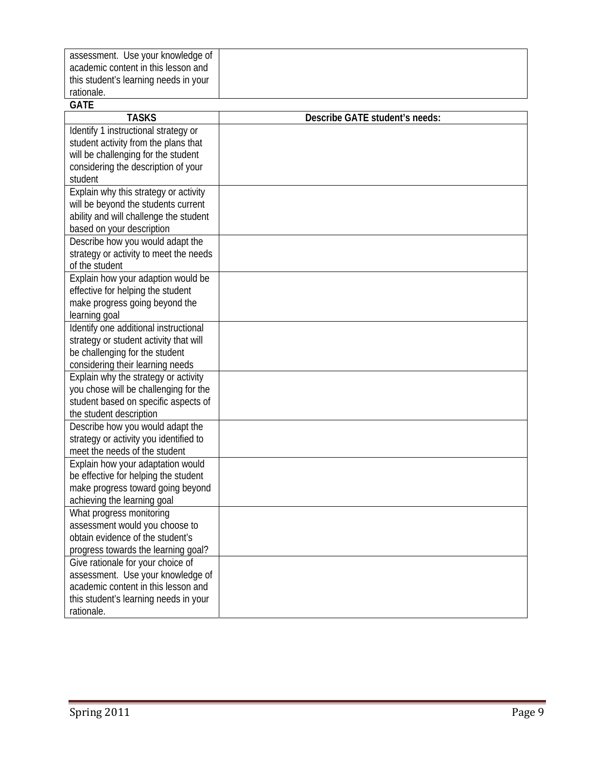| assessment. Use your knowledge of                                      |                                |
|------------------------------------------------------------------------|--------------------------------|
| academic content in this lesson and                                    |                                |
| this student's learning needs in your                                  |                                |
| rationale.                                                             |                                |
| <b>GATE</b>                                                            |                                |
| <b>TASKS</b>                                                           | Describe GATE student's needs: |
| Identify 1 instructional strategy or                                   |                                |
| student activity from the plans that                                   |                                |
| will be challenging for the student                                    |                                |
| considering the description of your                                    |                                |
| student                                                                |                                |
| Explain why this strategy or activity                                  |                                |
| will be beyond the students current                                    |                                |
| ability and will challenge the student                                 |                                |
| based on your description                                              |                                |
| Describe how you would adapt the                                       |                                |
| strategy or activity to meet the needs                                 |                                |
| of the student                                                         |                                |
| Explain how your adaption would be                                     |                                |
| effective for helping the student                                      |                                |
| make progress going beyond the                                         |                                |
| learning goal                                                          |                                |
| Identify one additional instructional                                  |                                |
| strategy or student activity that will                                 |                                |
| be challenging for the student                                         |                                |
| considering their learning needs                                       |                                |
| Explain why the strategy or activity                                   |                                |
| you chose will be challenging for the                                  |                                |
| student based on specific aspects of                                   |                                |
| the student description                                                |                                |
| Describe how you would adapt the                                       |                                |
| strategy or activity you identified to                                 |                                |
| meet the needs of the student                                          |                                |
| Explain how your adaptation would                                      |                                |
| be effective for helping the student                                   |                                |
| make progress toward going beyond                                      |                                |
| achieving the learning goal                                            |                                |
| What progress monitoring                                               |                                |
| assessment would you choose to<br>obtain evidence of the student's     |                                |
|                                                                        |                                |
| progress towards the learning goal?                                    |                                |
| Give rationale for your choice of<br>assessment. Use your knowledge of |                                |
| academic content in this lesson and                                    |                                |
| this student's learning needs in your                                  |                                |
| rationale.                                                             |                                |
|                                                                        |                                |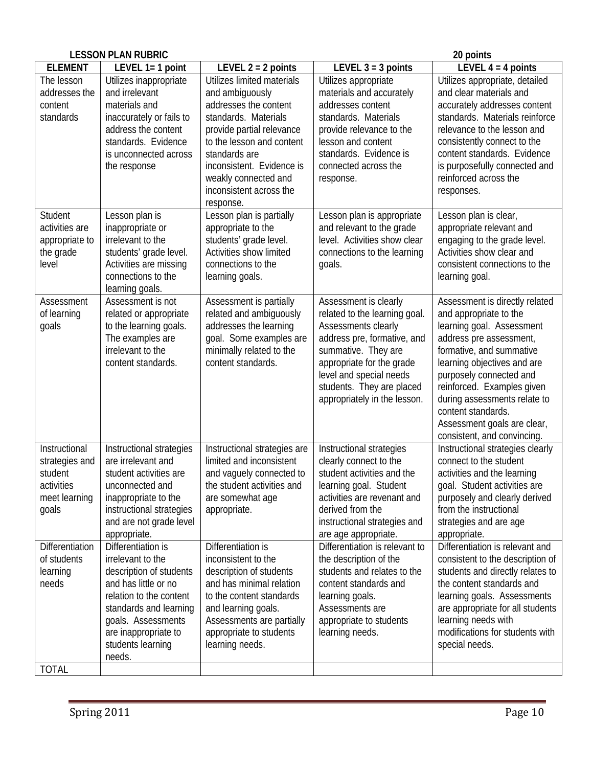| <b>LESSON PLAN RUBRIC</b>                                                          |                                                                                                                                                                                                                              |                                                                                                                                                                                                                                                                        | 20 points                                                                                                                                                                                                                                                |                                                                                                                                                                                                                                                                                                                                                          |  |
|------------------------------------------------------------------------------------|------------------------------------------------------------------------------------------------------------------------------------------------------------------------------------------------------------------------------|------------------------------------------------------------------------------------------------------------------------------------------------------------------------------------------------------------------------------------------------------------------------|----------------------------------------------------------------------------------------------------------------------------------------------------------------------------------------------------------------------------------------------------------|----------------------------------------------------------------------------------------------------------------------------------------------------------------------------------------------------------------------------------------------------------------------------------------------------------------------------------------------------------|--|
| <b>ELEMENT</b>                                                                     | LEVEL 1= 1 point                                                                                                                                                                                                             | LEVEL $2 = 2$ points                                                                                                                                                                                                                                                   | LEVEL $3 = 3$ points                                                                                                                                                                                                                                     | LEVEL $4 = 4$ points                                                                                                                                                                                                                                                                                                                                     |  |
| The lesson<br>addresses the<br>content<br>standards                                | Utilizes inappropriate<br>and irrelevant<br>materials and<br>inaccurately or fails to<br>address the content<br>standards. Evidence<br>is unconnected across<br>the response                                                 | Utilizes limited materials<br>and ambiguously<br>addresses the content<br>standards. Materials<br>provide partial relevance<br>to the lesson and content<br>standards are<br>inconsistent. Evidence is<br>weakly connected and<br>inconsistent across the<br>response. | Utilizes appropriate<br>materials and accurately<br>addresses content<br>standards. Materials<br>provide relevance to the<br>lesson and content<br>standards. Evidence is<br>connected across the<br>response.                                           | Utilizes appropriate, detailed<br>and clear materials and<br>accurately addresses content<br>standards. Materials reinforce<br>relevance to the lesson and<br>consistently connect to the<br>content standards. Evidence<br>is purposefully connected and<br>reinforced across the<br>responses.                                                         |  |
| Student<br>activities are<br>appropriate to<br>the grade<br>level                  | Lesson plan is<br>inappropriate or<br>irrelevant to the<br>students' grade level.<br>Activities are missing<br>connections to the<br>learning goals.                                                                         | Lesson plan is partially<br>appropriate to the<br>students' grade level.<br>Activities show limited<br>connections to the<br>learning goals.                                                                                                                           | Lesson plan is appropriate<br>and relevant to the grade<br>level. Activities show clear<br>connections to the learning<br>goals.                                                                                                                         | Lesson plan is clear,<br>appropriate relevant and<br>engaging to the grade level.<br>Activities show clear and<br>consistent connections to the<br>learning goal.                                                                                                                                                                                        |  |
| Assessment<br>of learning<br>goals                                                 | Assessment is not<br>related or appropriate<br>to the learning goals.<br>The examples are<br>irrelevant to the<br>content standards.                                                                                         | Assessment is partially<br>related and ambiguously<br>addresses the learning<br>goal. Some examples are<br>minimally related to the<br>content standards.                                                                                                              | Assessment is clearly<br>related to the learning goal.<br>Assessments clearly<br>address pre, formative, and<br>summative. They are<br>appropriate for the grade<br>level and special needs<br>students. They are placed<br>appropriately in the lesson. | Assessment is directly related<br>and appropriate to the<br>learning goal. Assessment<br>address pre assessment,<br>formative, and summative<br>learning objectives and are<br>purposely connected and<br>reinforced. Examples given<br>during assessments relate to<br>content standards.<br>Assessment goals are clear,<br>consistent, and convincing. |  |
| Instructional<br>strategies and<br>student<br>activities<br>meet learning<br>goals | Instructional strategies<br>are irrelevant and<br>student activities are<br>unconnected and<br>inappropriate to the<br>instructional strategies<br>and are not grade level<br>appropriate.                                   | Instructional strategies are<br>limited and inconsistent<br>and vaguely connected to<br>the student activities and<br>are somewhat age<br>appropriate.                                                                                                                 | Instructional strategies<br>clearly connect to the<br>student activities and the<br>learning goal. Student<br>activities are revenant and<br>derived from the<br>instructional strategies and<br>are age appropriate.                                    | Instructional strategies clearly<br>connect to the student<br>activities and the learning<br>goal. Student activities are<br>purposely and clearly derived<br>from the instructional<br>strategies and are age<br>appropriate.                                                                                                                           |  |
| Differentiation<br>of students<br>learning<br>needs<br><b>TOTAL</b>                | Differentiation is<br>irrelevant to the<br>description of students<br>and has little or no<br>relation to the content<br>standards and learning<br>goals. Assessments<br>are inappropriate to<br>students learning<br>needs. | Differentiation is<br>inconsistent to the<br>description of students<br>and has minimal relation<br>to the content standards<br>and learning goals.<br>Assessments are partially<br>appropriate to students<br>learning needs.                                         | Differentiation is relevant to<br>the description of the<br>students and relates to the<br>content standards and<br>learning goals.<br>Assessments are<br>appropriate to students<br>learning needs.                                                     | Differentiation is relevant and<br>consistent to the description of<br>students and directly relates to<br>the content standards and<br>learning goals. Assessments<br>are appropriate for all students<br>learning needs with<br>modifications for students with<br>special needs.                                                                      |  |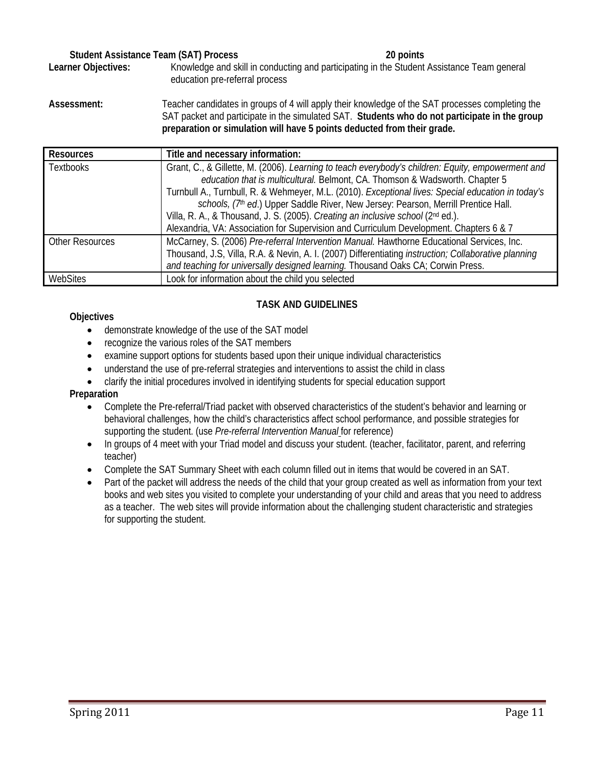## **Student Assistance Team (SAT) Process 20 points**

Learner Objectives: Knowledge and skill in conducting and participating in the Student Assistance Team general education pre-referral process

**Assessment:** Teacher candidates in groups of 4 will apply their knowledge of the SAT processes completing the SAT packet and participate in the simulated SAT. **Students who do not participate in the group** 

|                        | preparation or simulation will have 5 points deducted from their grade.                                                                                                                                                                                                                                                                                                                                                                                                                                                                                    |
|------------------------|------------------------------------------------------------------------------------------------------------------------------------------------------------------------------------------------------------------------------------------------------------------------------------------------------------------------------------------------------------------------------------------------------------------------------------------------------------------------------------------------------------------------------------------------------------|
| <b>Resources</b>       | Title and necessary information:                                                                                                                                                                                                                                                                                                                                                                                                                                                                                                                           |
| <b>Textbooks</b>       | Grant, C., & Gillette, M. (2006). Learning to teach everybody's children: Equity, empowerment and<br>education that is multicultural. Belmont, CA. Thomson & Wadsworth. Chapter 5<br>Turnbull A., Turnbull, R. & Wehmeyer, M.L. (2010). Exceptional lives: Special education in today's<br>schools, (7th ed.) Upper Saddle River, New Jersey: Pearson, Merrill Prentice Hall.<br>Villa, R. A., & Thousand, J. S. (2005). Creating an inclusive school (2nd ed.).<br>Alexandria, VA: Association for Supervision and Curriculum Development. Chapters 6 & 7 |
| <b>Other Resources</b> | McCarney, S. (2006) Pre-referral Intervention Manual. Hawthorne Educational Services, Inc.<br>Thousand, J.S. Villa, R.A. & Nevin, A. I. (2007) Differentiating <i>instruction; Collaborative planning</i><br>and teaching for universally designed learning. Thousand Oaks CA; Corwin Press.                                                                                                                                                                                                                                                               |
| WebSites               | Look for information about the child you selected                                                                                                                                                                                                                                                                                                                                                                                                                                                                                                          |

## **TASK AND GUIDELINES**

**Objectives** 

- demonstrate knowledge of the use of the SAT model
- recognize the various roles of the SAT members
- examine support options for students based upon their unique individual characteristics
- understand the use of pre-referral strategies and interventions to assist the child in class
- clarify the initial procedures involved in identifying students for special education support

## **Preparation**

- Complete the Pre-referral/Triad packet with observed characteristics of the student's behavior and learning or behavioral challenges, how the child's characteristics affect school performance, and possible strategies for supporting the student. (use *Pre-referral Intervention Manual* for reference)
- In groups of 4 meet with your Triad model and discuss your student. (teacher, facilitator, parent, and referring teacher)
- Complete the SAT Summary Sheet with each column filled out in items that would be covered in an SAT.
- Part of the packet will address the needs of the child that your group created as well as information from your text books and web sites you visited to complete your understanding of your child and areas that you need to address as a teacher. The web sites will provide information about the challenging student characteristic and strategies for supporting the student.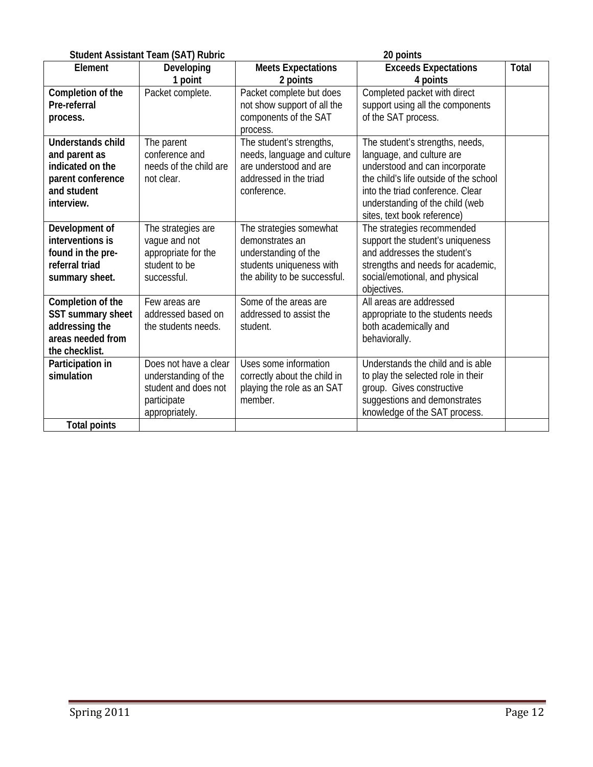|                                                                                                                 | <b>Student Assistant Team (SAT) Rubric</b>                                                             |                                                                                                                                 | 20 points                                                                                                                                                                                                                                      |              |
|-----------------------------------------------------------------------------------------------------------------|--------------------------------------------------------------------------------------------------------|---------------------------------------------------------------------------------------------------------------------------------|------------------------------------------------------------------------------------------------------------------------------------------------------------------------------------------------------------------------------------------------|--------------|
| Element                                                                                                         | Developing<br>1 point                                                                                  | <b>Meets Expectations</b><br>2 points                                                                                           | <b>Exceeds Expectations</b><br>4 points                                                                                                                                                                                                        | <b>Total</b> |
| Completion of the<br>Pre-referral<br>process.                                                                   | Packet complete.                                                                                       | Packet complete but does<br>not show support of all the<br>components of the SAT<br>process.                                    | Completed packet with direct<br>support using all the components<br>of the SAT process.                                                                                                                                                        |              |
| <b>Understands child</b><br>and parent as<br>indicated on the<br>parent conference<br>and student<br>interview. | The parent<br>conference and<br>needs of the child are<br>not clear.                                   | The student's strengths,<br>needs, language and culture<br>are understood and are<br>addressed in the triad<br>conference.      | The student's strengths, needs,<br>language, and culture are<br>understood and can incorporate<br>the child's life outside of the school<br>into the triad conference. Clear<br>understanding of the child (web<br>sites, text book reference) |              |
| Development of<br>interventions is<br>found in the pre-<br>referral triad<br>summary sheet.                     | The strategies are<br>vague and not<br>appropriate for the<br>student to be<br>successful.             | The strategies somewhat<br>demonstrates an<br>understanding of the<br>students uniqueness with<br>the ability to be successful. | The strategies recommended<br>support the student's uniqueness<br>and addresses the student's<br>strengths and needs for academic,<br>social/emotional, and physical<br>objectives.                                                            |              |
| Completion of the<br>SST summary sheet<br>addressing the<br>areas needed from<br>the checklist.                 | Few areas are<br>addressed based on<br>the students needs.                                             | Some of the areas are<br>addressed to assist the<br>student.                                                                    | All areas are addressed<br>appropriate to the students needs<br>both academically and<br>behaviorally.                                                                                                                                         |              |
| Participation in<br>simulation<br><b>Total points</b>                                                           | Does not have a clear<br>understanding of the<br>student and does not<br>participate<br>appropriately. | Uses some information<br>correctly about the child in<br>playing the role as an SAT<br>member.                                  | Understands the child and is able<br>to play the selected role in their<br>group. Gives constructive<br>suggestions and demonstrates<br>knowledge of the SAT process.                                                                          |              |
|                                                                                                                 |                                                                                                        |                                                                                                                                 |                                                                                                                                                                                                                                                |              |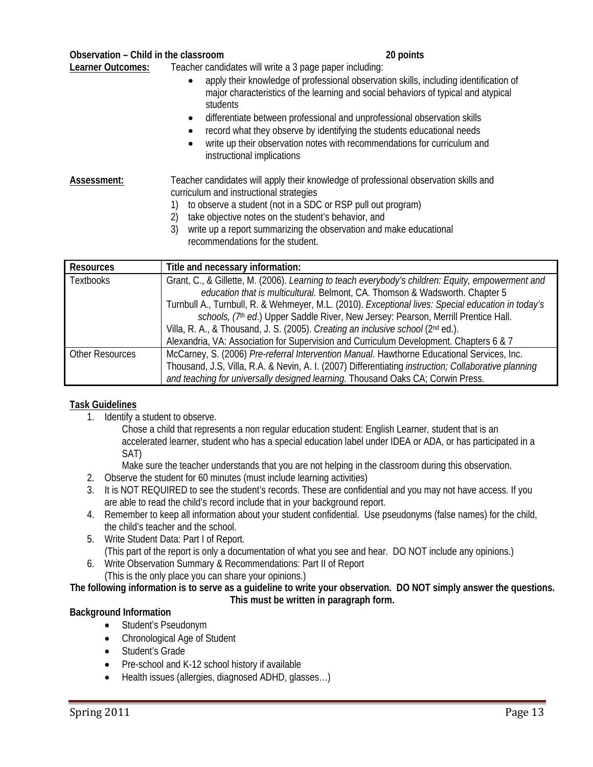| Observation - Child in the classroom | 20 points |
|--------------------------------------|-----------|
|--------------------------------------|-----------|

**Learner Outcomes:** Teacher candidates will write a 3 page paper including:

- apply their knowledge of professional observation skills, including identification of major characteristics of the learning and social behaviors of typical and atypical students
- differentiate between professional and unprofessional observation skills
- record what they observe by identifying the students educational needs
- write up their observation notes with recommendations for curriculum and instructional implications

## **Assessment:** Teacher candidates will apply their knowledge of professional observation skills and curriculum and instructional strategies

- 1) to observe a student (not in a SDC or RSP pull out program)
- 2) take objective notes on the student's behavior, and
- 3) write up a report summarizing the observation and make educational recommendations for the student.

| <b>Resources</b>       | Title and necessary information:                                                                            |  |  |  |  |
|------------------------|-------------------------------------------------------------------------------------------------------------|--|--|--|--|
| <b>Textbooks</b>       | Grant, C., & Gillette, M. (2006). Learning to teach everybody's children: Equity, empowerment and           |  |  |  |  |
|                        | education that is multicultural. Belmont, CA. Thomson & Wadsworth. Chapter 5                                |  |  |  |  |
|                        | Turnbull A., Turnbull, R. & Wehmeyer, M.L. (2010). Exceptional lives: Special education in today's          |  |  |  |  |
|                        | schools, (7th ed.) Upper Saddle River, New Jersey: Pearson, Merrill Prentice Hall.                          |  |  |  |  |
|                        | Villa, R. A., & Thousand, J. S. (2005). Creating an inclusive school (2nd ed.).                             |  |  |  |  |
|                        | Alexandria, VA: Association for Supervision and Curriculum Development. Chapters 6 & 7                      |  |  |  |  |
| <b>Other Resources</b> | McCarney, S. (2006) Pre-referral Intervention Manual. Hawthorne Educational Services, Inc.                  |  |  |  |  |
|                        | Thousand, J.S, Villa, R.A. & Nevin, A. I. (2007) Differentiating <i>instruction; Collaborative planning</i> |  |  |  |  |
|                        | and teaching for universally designed learning. Thousand Oaks CA; Corwin Press.                             |  |  |  |  |

## **Task Guidelines**

1. Identify a student to observe.

Chose a child that represents a non regular education student: English Learner, student that is an accelerated learner, student who has a special education label under IDEA or ADA, or has participated in a SAT)

Make sure the teacher understands that you are not helping in the classroom during this observation.

- 2. Observe the student for 60 minutes (must include learning activities)
- 3. It is NOT REQUIRED to see the student's records. These are confidential and you may not have access. If you are able to read the child's record include that in your background report.
- 4. Remember to keep all information about your student confidential. Use pseudonyms (false names) for the child, the child's teacher and the school.
- 5. Write Student Data: Part I of Report. (This part of the report is only a documentation of what you see and hear. DO NOT include any opinions.)
- 6. Write Observation Summary & Recommendations: Part II of Report (This is the only place you can share your opinions.)

## **The following information is to serve as a guideline to write your observation. DO NOT simply answer the questions. This must be written in paragraph form.**

## **Background Information**

- Student's Pseudonym
- Chronological Age of Student
- Student's Grade
- Pre-school and K-12 school history if available
- Health issues (allergies, diagnosed ADHD, glasses…)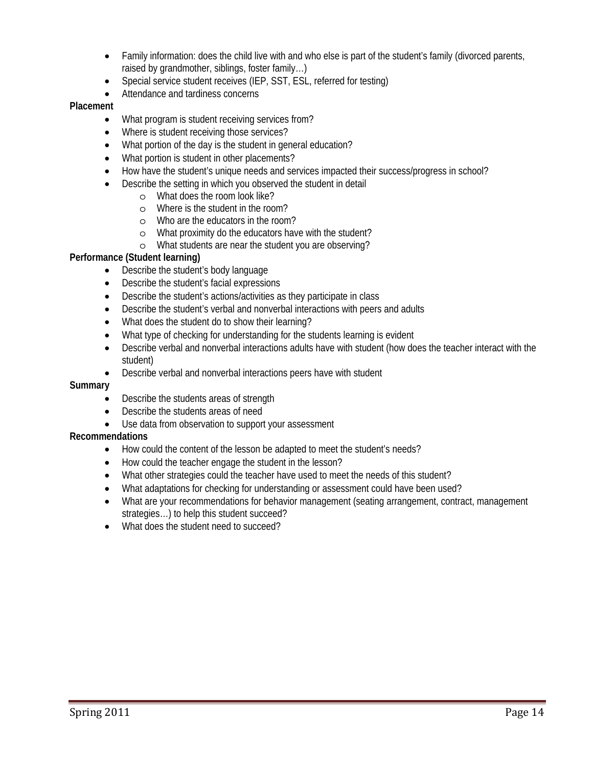- Family information: does the child live with and who else is part of the student's family (divorced parents, raised by grandmother, siblings, foster family…)
- Special service student receives (IEP, SST, ESL, referred for testing)
- Attendance and tardiness concerns

## **Placement**

- What program is student receiving services from?
- Where is student receiving those services?
- What portion of the day is the student in general education?
- What portion is student in other placements?
- How have the student's unique needs and services impacted their success/progress in school?
- Describe the setting in which you observed the student in detail
	- o What does the room look like?
	- o Where is the student in the room?
	- o Who are the educators in the room?
	- o What proximity do the educators have with the student?
	- o What students are near the student you are observing?

## **Performance (Student learning)**

- Describe the student's body language
- Describe the student's facial expressions
- Describe the student's actions/activities as they participate in class
- Describe the student's verbal and nonverbal interactions with peers and adults
- What does the student do to show their learning?
- What type of checking for understanding for the students learning is evident
- Describe verbal and nonverbal interactions adults have with student (how does the teacher interact with the student)
- Describe verbal and nonverbal interactions peers have with student

## **Summary**

- Describe the students areas of strength
- Describe the students areas of need
- Use data from observation to support your assessment

## **Recommendations**

- How could the content of the lesson be adapted to meet the student's needs?
- How could the teacher engage the student in the lesson?
- What other strategies could the teacher have used to meet the needs of this student?
- What adaptations for checking for understanding or assessment could have been used?
- strategies…) to help this student succeed? What are your recommendations for behavior management (seating arrangement, contract, management
- What does the student need to succeed?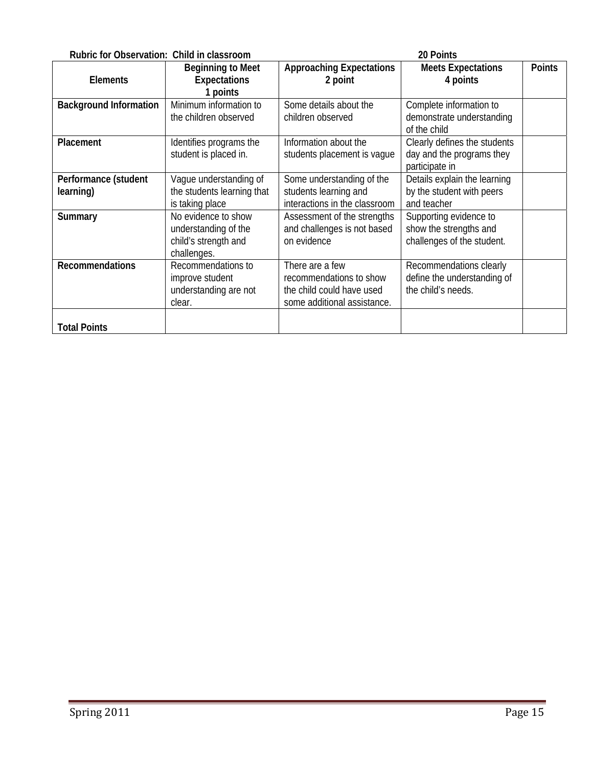| Rubric for Observation: Child in classroom<br>20 Points |                                                                                    |                                                                                                        |                                                                                |               |
|---------------------------------------------------------|------------------------------------------------------------------------------------|--------------------------------------------------------------------------------------------------------|--------------------------------------------------------------------------------|---------------|
| <b>Elements</b>                                         | <b>Beginning to Meet</b><br><b>Expectations</b><br>1 points                        | <b>Approaching Expectations</b><br>2 point                                                             | <b>Meets Expectations</b><br>4 points                                          | <b>Points</b> |
| <b>Background Information</b>                           | Minimum information to<br>the children observed                                    | Some details about the<br>children observed                                                            | Complete information to<br>demonstrate understanding<br>of the child           |               |
| Placement                                               | Identifies programs the<br>student is placed in.                                   | Information about the<br>students placement is vague                                                   | Clearly defines the students<br>day and the programs they<br>participate in    |               |
| Performance (student<br>learning)                       | Vaque understanding of<br>the students learning that<br>is taking place            | Some understanding of the<br>students learning and<br>interactions in the classroom                    | Details explain the learning<br>by the student with peers<br>and teacher       |               |
| Summary                                                 | No evidence to show<br>understanding of the<br>child's strength and<br>challenges. | Assessment of the strengths<br>and challenges is not based<br>on evidence                              | Supporting evidence to<br>show the strengths and<br>challenges of the student. |               |
| <b>Recommendations</b>                                  | Recommendations to<br>improve student<br>understanding are not<br>clear.           | There are a few<br>recommendations to show<br>the child could have used<br>some additional assistance. | Recommendations clearly<br>define the understanding of<br>the child's needs.   |               |
| <b>Total Points</b>                                     |                                                                                    |                                                                                                        |                                                                                |               |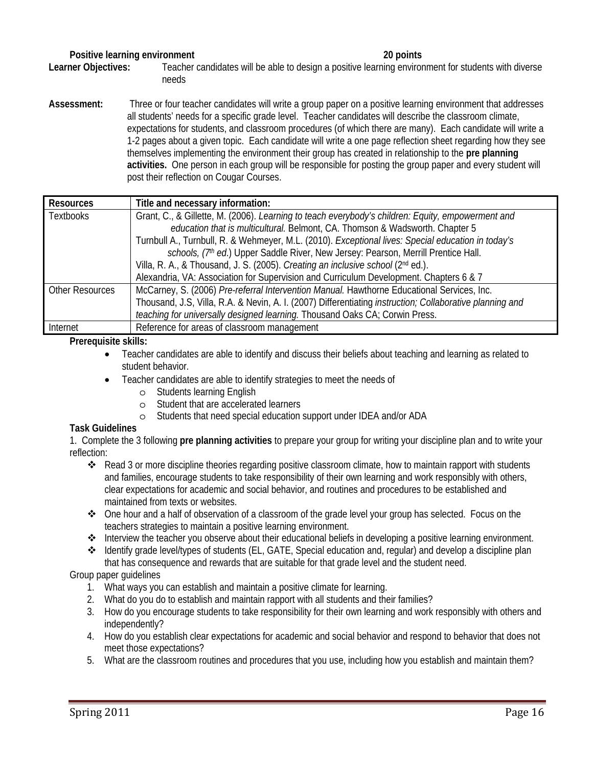## **Positive learning environment** 20 points 20 points

**Learner Objectives:** Teacher candidates will be able to design a positive learning environment for students with diverse needs

 expectations for students, and classroom procedures (of which there are many). Each candidate will write a **Assessment:** Three or four teacher candidates will write a group paper on a positive learning environment that addresses all students' needs for a specific grade level. Teacher candidates will describe the classroom climate, 1-2 pages about a given topic. Each candidate will write a one page reflection sheet regarding how they see themselves implementing the environment their group has created in relationship to the **pre planning activities.** One person in each group will be responsible for posting the group paper and every student will post their reflection on Cougar Courses.

| <b>Resources</b>       | Title and necessary information:                                                                         |  |  |  |
|------------------------|----------------------------------------------------------------------------------------------------------|--|--|--|
| <b>Textbooks</b>       | Grant, C., & Gillette, M. (2006). Learning to teach everybody's children: Equity, empowerment and        |  |  |  |
|                        | education that is multicultural. Belmont, CA. Thomson & Wadsworth. Chapter 5                             |  |  |  |
|                        | Turnbull A., Turnbull, R. & Wehmeyer, M.L. (2010). Exceptional lives: Special education in today's       |  |  |  |
|                        | schools, (7th ed.) Upper Saddle River, New Jersey: Pearson, Merrill Prentice Hall.                       |  |  |  |
|                        | Villa, R. A., & Thousand, J. S. (2005). Creating an inclusive school (2nd ed.).                          |  |  |  |
|                        | Alexandria, VA: Association for Supervision and Curriculum Development. Chapters 6 & 7                   |  |  |  |
| <b>Other Resources</b> | McCarney, S. (2006) Pre-referral Intervention Manual. Hawthorne Educational Services, Inc.               |  |  |  |
|                        | Thousand, J.S, Villa, R.A. & Nevin, A. I. (2007) Differentiating instruction; Collaborative planning and |  |  |  |
|                        | teaching for universally designed learning. Thousand Oaks CA; Corwin Press.                              |  |  |  |
| Internet               | Reference for areas of classroom management                                                              |  |  |  |

## **Prerequisite skills:**

- Teacher candidates are able to identify and discuss their beliefs about teaching and learning as related to student behavior.
- Teacher candidates are able to identify strategies to meet the needs of
	- o Students learning English
	- o Student that are accelerated learners
	- o Students that need special education support under IDEA and/or ADA

## **Task Guidelines**

1. Complete the 3 following **pre planning activities** to prepare your group for writing your discipline plan and to write your reflection:

- Read 3 or more discipline theories regarding positive classroom climate, how to maintain rapport with students and families, encourage students to take responsibility of their own learning and work responsibly with others, clear expectations for academic and social behavior, and routines and procedures to be established and maintained from texts or websites.
- One hour and a half of observation of a classroom of the grade level your group has selected. Focus on the teachers strategies to maintain a positive learning environment.
- Interview the teacher you observe about their educational beliefs in developing a positive learning environment.
- Identify grade level/types of students (EL, GATE, Special education and, regular) and develop a discipline plan that has consequence and rewards that are suitable for that grade level and the student need.

## Group paper guidelines

- 1. What ways you can establish and maintain a positive climate for learning.
- 2. What do you do to establish and maintain rapport with all students and their families?
- 3. How do you encourage students to take responsibility for their own learning and work responsibly with others and independently?
- 4. How do you establish clear expectations for academic and social behavior and respond to behavior that does not meet those expectations?
- 5. What are the classroom routines and procedures that you use, including how you establish and maintain them?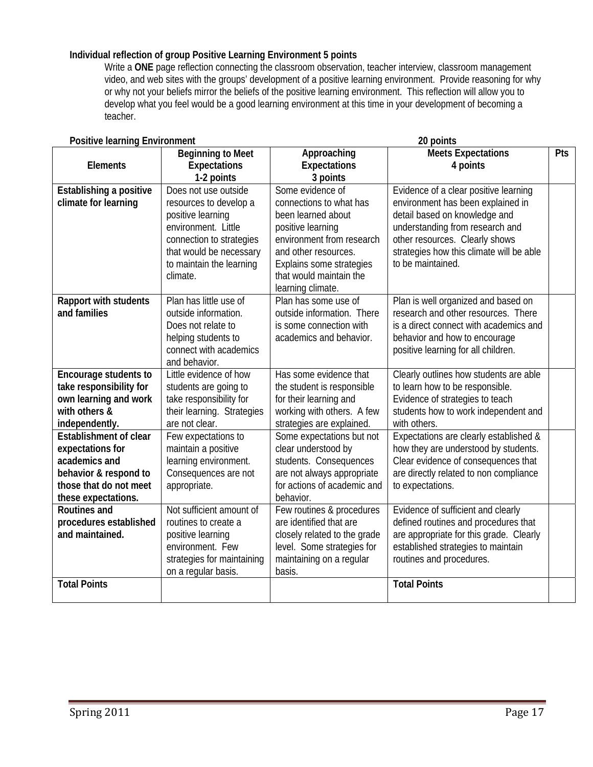## **Individual reflection of group Positive Learning Environment 5 points**

Write a ONE page reflection connecting the classroom observation, teacher interview, classroom management video, and web sites with the groups' development of a positive learning environment. Provide reasoning for why or why not your beliefs mirror the beliefs of the positive learning environment. This reflection will allow you to develop what you feel would be a good learning environment at this time in your development of becoming a teacher.

| <b>Positive learning Environment</b><br>20 points |                            |                              |                                          |     |
|---------------------------------------------------|----------------------------|------------------------------|------------------------------------------|-----|
|                                                   | <b>Beginning to Meet</b>   | Approaching                  | <b>Meets Expectations</b>                | Pts |
| <b>Elements</b>                                   | Expectations               | <b>Expectations</b>          | 4 points                                 |     |
|                                                   | 1-2 points                 | 3 points                     |                                          |     |
| Establishing a positive                           | Does not use outside       | Some evidence of             | Evidence of a clear positive learning    |     |
| climate for learning                              | resources to develop a     | connections to what has      | environment has been explained in        |     |
|                                                   | positive learning          | been learned about           | detail based on knowledge and            |     |
|                                                   | environment. Little        | positive learning            | understanding from research and          |     |
|                                                   | connection to strategies   | environment from research    | other resources. Clearly shows           |     |
|                                                   | that would be necessary    | and other resources.         | strategies how this climate will be able |     |
|                                                   | to maintain the learning   | Explains some strategies     | to be maintained.                        |     |
|                                                   | climate.                   | that would maintain the      |                                          |     |
|                                                   |                            | learning climate.            |                                          |     |
| Rapport with students                             | Plan has little use of     | Plan has some use of         | Plan is well organized and based on      |     |
| and families                                      | outside information.       | outside information. There   | research and other resources. There      |     |
|                                                   | Does not relate to         | is some connection with      | is a direct connect with academics and   |     |
|                                                   | helping students to        | academics and behavior.      | behavior and how to encourage            |     |
|                                                   | connect with academics     |                              | positive learning for all children.      |     |
|                                                   | and behavior.              |                              |                                          |     |
| Encourage students to                             | Little evidence of how     | Has some evidence that       | Clearly outlines how students are able   |     |
| take responsibility for                           | students are going to      | the student is responsible   | to learn how to be responsible.          |     |
| own learning and work                             | take responsibility for    | for their learning and       | Evidence of strategies to teach          |     |
| with others &                                     | their learning. Strategies | working with others. A few   | students how to work independent and     |     |
| independently.                                    | are not clear.             | strategies are explained.    | with others.                             |     |
| <b>Establishment of clear</b>                     | Few expectations to        | Some expectations but not    | Expectations are clearly established &   |     |
| expectations for                                  | maintain a positive        | clear understood by          | how they are understood by students.     |     |
| academics and                                     | learning environment.      | students. Consequences       | Clear evidence of consequences that      |     |
| behavior & respond to                             | Consequences are not       | are not always appropriate   | are directly related to non compliance   |     |
| those that do not meet                            | appropriate.               | for actions of academic and  | to expectations.                         |     |
| these expectations.                               |                            | behavior.                    |                                          |     |
| <b>Routines and</b>                               | Not sufficient amount of   | Few routines & procedures    | Evidence of sufficient and clearly       |     |
| procedures established                            | routines to create a       | are identified that are      | defined routines and procedures that     |     |
| and maintained.                                   | positive learning          | closely related to the grade | are appropriate for this grade. Clearly  |     |
|                                                   | environment. Few           | level. Some strategies for   | established strategies to maintain       |     |
|                                                   | strategies for maintaining | maintaining on a regular     | routines and procedures.                 |     |
|                                                   | on a regular basis.        | basis.                       |                                          |     |
| <b>Total Points</b>                               |                            |                              | <b>Total Points</b>                      |     |
|                                                   |                            |                              |                                          |     |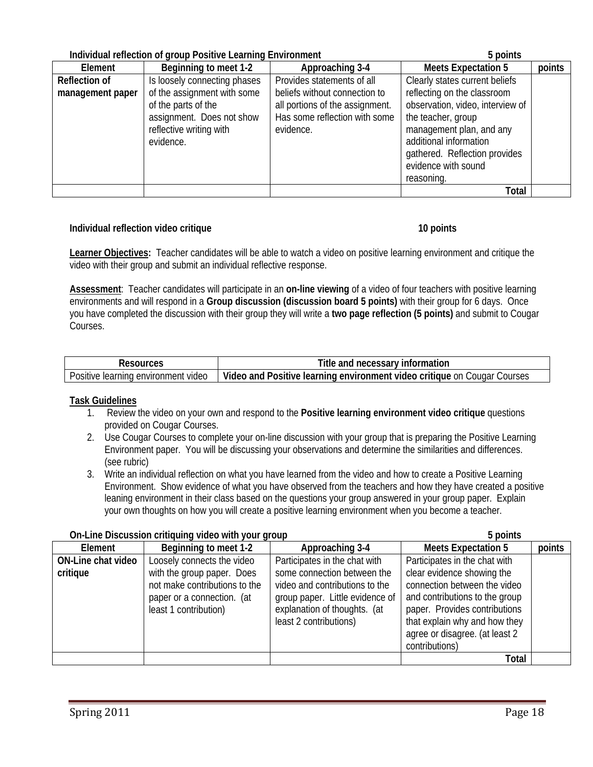|                      | Individual reflection of group Positive Learning Environment | 5 points                        |                                  |        |
|----------------------|--------------------------------------------------------------|---------------------------------|----------------------------------|--------|
| Element              | Beginning to meet 1-2                                        | Approaching 3-4                 | <b>Meets Expectation 5</b>       | points |
| <b>Reflection of</b> | Is loosely connecting phases                                 | Provides statements of all      | Clearly states current beliefs   |        |
| management paper     | of the assignment with some                                  | beliefs without connection to   | reflecting on the classroom      |        |
|                      | of the parts of the                                          | all portions of the assignment. | observation, video, interview of |        |
|                      | assignment. Does not show                                    | Has some reflection with some   | the teacher, group               |        |
|                      | reflective writing with                                      | evidence.                       | management plan, and any         |        |
|                      | evidence.                                                    |                                 | additional information           |        |
|                      |                                                              |                                 | gathered. Reflection provides    |        |
|                      |                                                              |                                 | evidence with sound              |        |
|                      |                                                              |                                 | reasoning.                       |        |
|                      |                                                              |                                 | Total                            |        |

## **Individual reflection video critique 10 points 10 points and 10 points in the 10 points of 10 points in the 10 points of 10 points in the 10 points of 10 points in the 10 points of 10 points in the 10 points of 10 points**

**Learner Objectives:** Teacher candidates will be able to watch a video on positive learning environment and critique the video with their group and submit an individual reflective response.

**Assessment**: Teacher candidates will participate in an **on-line viewing** of a video of four teachers with positive learning environments and will respond in a **Group discussion (discussion board 5 points)** with their group for 6 days. Once you have completed the discussion with their group they will write a **two page reflection (5 points)** and submit to Cougar Courses.

| sources                                         | Title<br>necessary<br>and<br>ormation<br>ınt                                                           |
|-------------------------------------------------|--------------------------------------------------------------------------------------------------------|
| Positive<br>video<br>¶environment ≀<br>learning | Video<br>Courses<br>environment<br>, and<br>. Iearning<br>video<br>Positive<br>critique on<br>Cougar ' |

## **Task Guidelines**

- 1. Review the video on your own and respond to the **Positive learning environment video critique** questions provided on Cougar Courses.
- 2. Use Cougar Courses to complete your on-line discussion with your group that is preparing the Positive Learning Environment paper. You will be discussing your observations and determine the similarities and differences. (see rubric)
- 3. Write an individual reflection on what you have learned from the video and how to create a Positive Learning Environment. Show evidence of what you have observed from the teachers and how they have created a positive leaning environment in their class based on the questions your group answered in your group paper. Explain your own thoughts on how you will create a positive learning environment when you become a teacher.

| Element            | Beginning to meet 1-2         | Approaching 3-4                 | <b>Meets Expectation 5</b>     | points |
|--------------------|-------------------------------|---------------------------------|--------------------------------|--------|
| ON-Line chat video | Loosely connects the video    | Participates in the chat with   | Participates in the chat with  |        |
| critique           | with the group paper. Does    | some connection between the     | clear evidence showing the     |        |
|                    | not make contributions to the | video and contributions to the  | connection between the video   |        |
|                    | paper or a connection. (at    | group paper. Little evidence of | and contributions to the group |        |
|                    | least 1 contribution)         | explanation of thoughts. (at    | paper. Provides contributions  |        |
|                    |                               | least 2 contributions)          | that explain why and how they  |        |
|                    |                               |                                 | agree or disagree. (at least 2 |        |
|                    |                               |                                 | contributions)                 |        |
|                    |                               |                                 | Total                          |        |

## **On-Line Discussion critiquing video with your group 5 points**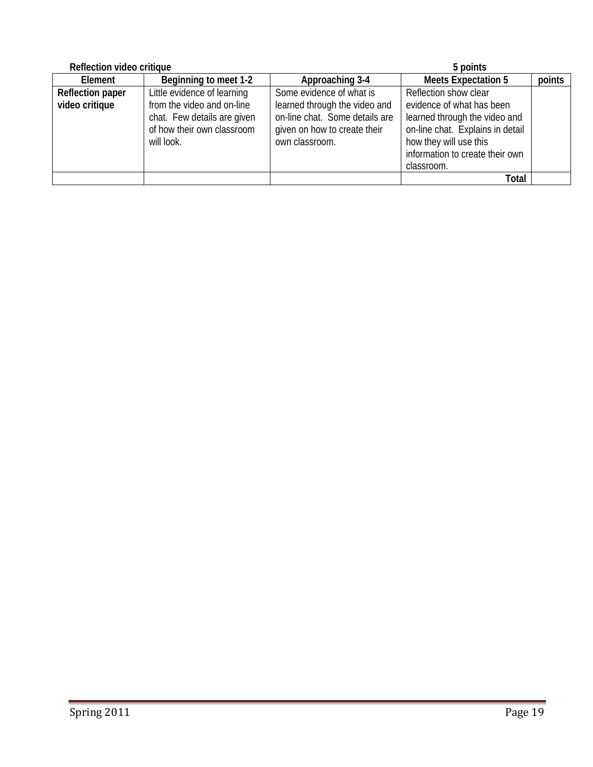| Reflection video critique |                             |                                | 5 points                         |        |  |  |
|---------------------------|-----------------------------|--------------------------------|----------------------------------|--------|--|--|
| Element                   | Beginning to meet 1-2       | Approaching 3-4                | <b>Meets Expectation 5</b>       | points |  |  |
| <b>Reflection paper</b>   | Little evidence of learning | Some evidence of what is       | Reflection show clear            |        |  |  |
| video critique            | from the video and on-line  | learned through the video and  | evidence of what has been        |        |  |  |
|                           | chat. Few details are given | on-line chat. Some details are | learned through the video and    |        |  |  |
|                           | of how their own classroom  | given on how to create their   | on-line chat. Explains in detail |        |  |  |
|                           | will look.                  | own classroom.                 | how they will use this           |        |  |  |
|                           |                             |                                | information to create their own  |        |  |  |
|                           |                             |                                | classroom.                       |        |  |  |
|                           |                             |                                | <b>Total</b>                     |        |  |  |